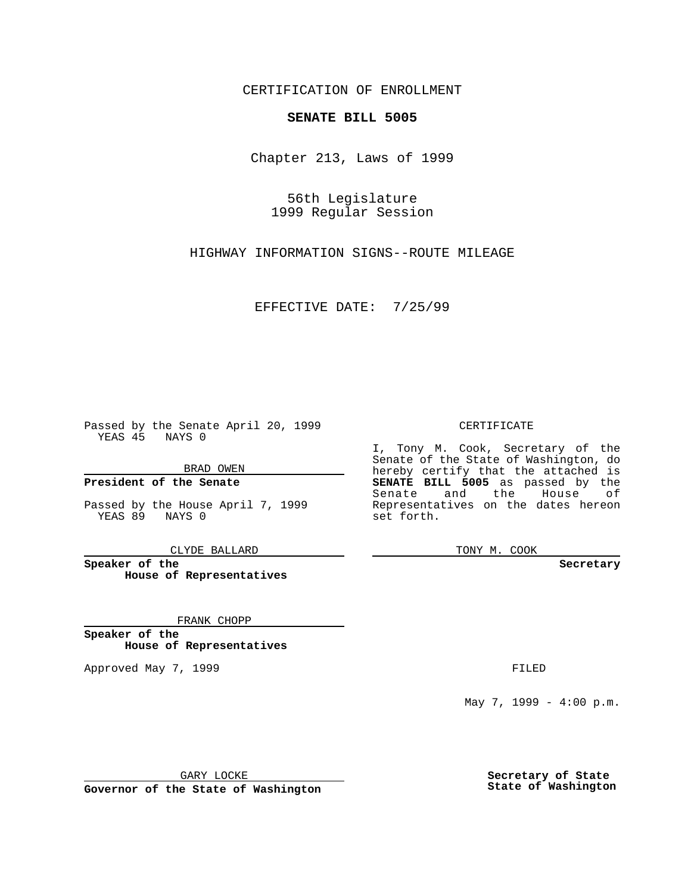CERTIFICATION OF ENROLLMENT

# **SENATE BILL 5005**

Chapter 213, Laws of 1999

56th Legislature 1999 Regular Session

HIGHWAY INFORMATION SIGNS--ROUTE MILEAGE

EFFECTIVE DATE: 7/25/99

Passed by the Senate April 20, 1999 YEAS 45 NAYS 0

BRAD OWEN

**President of the Senate**

Passed by the House April 7, 1999 YEAS 89 NAYS 0

CLYDE BALLARD

**Speaker of the House of Representatives**

FRANK CHOPP

**Speaker of the House of Representatives**

Approved May 7, 1999 **FILED** 

### CERTIFICATE

I, Tony M. Cook, Secretary of the Senate of the State of Washington, do hereby certify that the attached is **SENATE BILL 5005** as passed by the Senate and the House of Representatives on the dates hereon set forth.

TONY M. COOK

#### **Secretary**

May 7, 1999 - 4:00 p.m.

GARY LOCKE

**Governor of the State of Washington**

**Secretary of State State of Washington**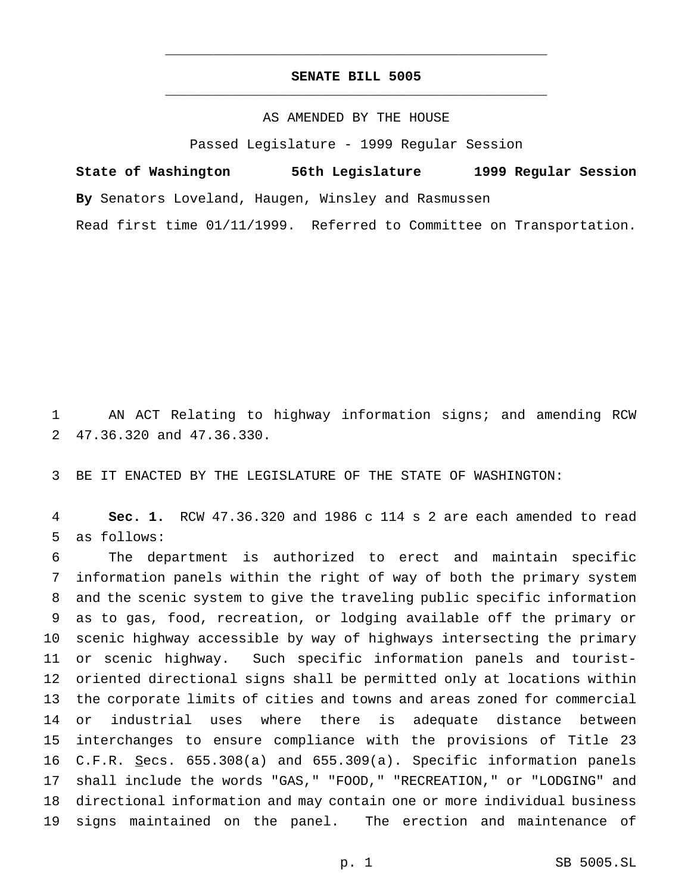## **SENATE BILL 5005** \_\_\_\_\_\_\_\_\_\_\_\_\_\_\_\_\_\_\_\_\_\_\_\_\_\_\_\_\_\_\_\_\_\_\_\_\_\_\_\_\_\_\_\_\_\_\_

\_\_\_\_\_\_\_\_\_\_\_\_\_\_\_\_\_\_\_\_\_\_\_\_\_\_\_\_\_\_\_\_\_\_\_\_\_\_\_\_\_\_\_\_\_\_\_

### AS AMENDED BY THE HOUSE

Passed Legislature - 1999 Regular Session

**State of Washington 56th Legislature 1999 Regular Session By** Senators Loveland, Haugen, Winsley and Rasmussen

Read first time 01/11/1999. Referred to Committee on Transportation.

 AN ACT Relating to highway information signs; and amending RCW 47.36.320 and 47.36.330.

BE IT ENACTED BY THE LEGISLATURE OF THE STATE OF WASHINGTON:

 **Sec. 1.** RCW 47.36.320 and 1986 c 114 s 2 are each amended to read as follows:

 The department is authorized to erect and maintain specific information panels within the right of way of both the primary system and the scenic system to give the traveling public specific information as to gas, food, recreation, or lodging available off the primary or scenic highway accessible by way of highways intersecting the primary or scenic highway. Such specific information panels and tourist- oriented directional signs shall be permitted only at locations within the corporate limits of cities and towns and areas zoned for commercial or industrial uses where there is adequate distance between interchanges to ensure compliance with the provisions of Title 23 C.F.R. Secs. 655.308(a) and 655.309(a). Specific information panels shall include the words "GAS," "FOOD," "RECREATION," or "LODGING" and directional information and may contain one or more individual business signs maintained on the panel. The erection and maintenance of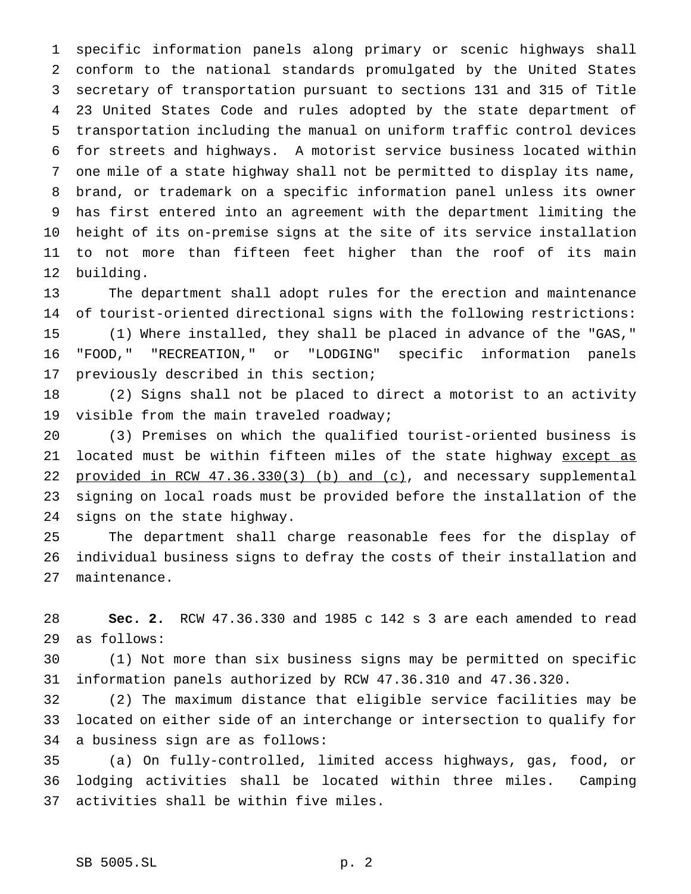specific information panels along primary or scenic highways shall conform to the national standards promulgated by the United States secretary of transportation pursuant to sections 131 and 315 of Title 23 United States Code and rules adopted by the state department of transportation including the manual on uniform traffic control devices for streets and highways. A motorist service business located within one mile of a state highway shall not be permitted to display its name, brand, or trademark on a specific information panel unless its owner has first entered into an agreement with the department limiting the height of its on-premise signs at the site of its service installation to not more than fifteen feet higher than the roof of its main building.

 The department shall adopt rules for the erection and maintenance of tourist-oriented directional signs with the following restrictions: (1) Where installed, they shall be placed in advance of the "GAS," "FOOD," "RECREATION," or "LODGING" specific information panels previously described in this section;

 (2) Signs shall not be placed to direct a motorist to an activity 19 visible from the main traveled roadway;

 (3) Premises on which the qualified tourist-oriented business is 21 located must be within fifteen miles of the state highway except as 22 provided in RCW 47.36.330(3) (b) and (c), and necessary supplemental signing on local roads must be provided before the installation of the signs on the state highway.

 The department shall charge reasonable fees for the display of individual business signs to defray the costs of their installation and maintenance.

 **Sec. 2.** RCW 47.36.330 and 1985 c 142 s 3 are each amended to read as follows:

 (1) Not more than six business signs may be permitted on specific information panels authorized by RCW 47.36.310 and 47.36.320.

 (2) The maximum distance that eligible service facilities may be located on either side of an interchange or intersection to qualify for a business sign are as follows:

 (a) On fully-controlled, limited access highways, gas, food, or lodging activities shall be located within three miles. Camping activities shall be within five miles.